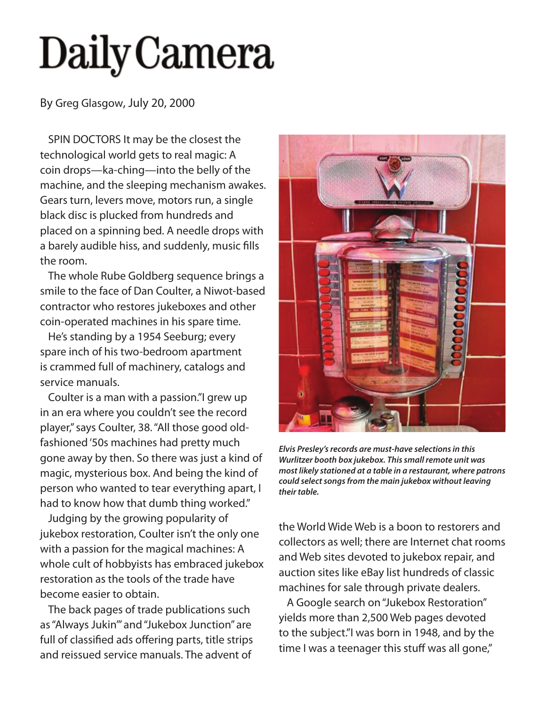## **Daily Camera**

By Greg Glasgow, July 20, 2000

SPIN DOCTORS It may be the closest the technological world gets to real magic: A coin drops—ka-ching—into the belly of the machine, and the sleeping mechanism awakes. Gears turn, levers move, motors run, a single black disc is plucked from hundreds and placed on a spinning bed. A needle drops with a barely audible hiss, and suddenly, music fills the room.

The whole Rube Goldberg sequence brings a smile to the face of Dan Coulter, a Niwot-based contractor who restores jukeboxes and other coin-operated machines in his spare time.

He's standing by a 1954 Seeburg; every spare inch of his two-bedroom apartment is crammed full of machinery, catalogs and service manuals.

Coulter is a man with a passion."I grew up in an era where you couldn't see the record player," says Coulter, 38. "All those good oldfashioned '50s machines had pretty much gone away by then. So there was just a kind of magic, mysterious box. And being the kind of person who wanted to tear everything apart, I had to know how that dumb thing worked."

Judging by the growing popularity of jukebox restoration, Coulter isn't the only one with a passion for the magical machines: A whole cult of hobbyists has embraced jukebox restoration as the tools of the trade have become easier to obtain.

The back pages of trade publications such as "Always Jukin'" and "Jukebox Junction" are full of classified ads offering parts, title strips and reissued service manuals. The advent of



*Elvis Presley's records are must-have selections in this Wurlitzer booth box jukebox. This small remote unit was most likely stationed at a table in a restaurant, where patrons could select songs from the main jukebox without leaving their table.*

the World Wide Web is a boon to restorers and collectors as well; there are Internet chat rooms and Web sites devoted to jukebox repair, and auction sites like eBay list hundreds of classic machines for sale through private dealers.

A Google search on "Jukebox Restoration" yields more than 2,500 Web pages devoted to the subject."I was born in 1948, and by the time I was a teenager this stuff was all gone,"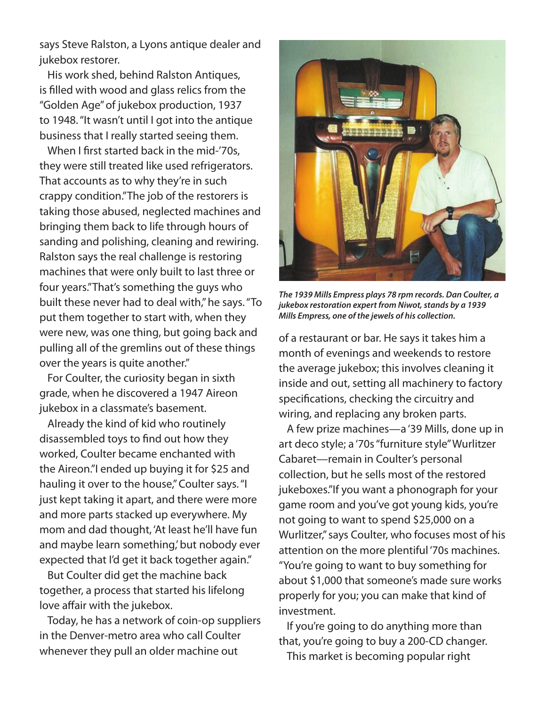says Steve Ralston, a Lyons antique dealer and jukebox restorer.

His work shed, behind Ralston Antiques, is filled with wood and glass relics from the "Golden Age" of jukebox production, 1937 to 1948. "It wasn't until I got into the antique business that I really started seeing them.

When I first started back in the mid-'70s, they were still treated like used refrigerators. That accounts as to why they're in such crappy condition."The job of the restorers is taking those abused, neglected machines and bringing them back to life through hours of sanding and polishing, cleaning and rewiring. Ralston says the real challenge is restoring machines that were only built to last three or four years."That's something the guys who built these never had to deal with," he says. "To put them together to start with, when they were new, was one thing, but going back and pulling all of the gremlins out of these things over the years is quite another."

For Coulter, the curiosity began in sixth grade, when he discovered a 1947 Aireon jukebox in a classmate's basement.

Already the kind of kid who routinely disassembled toys to find out how they worked, Coulter became enchanted with the Aireon."I ended up buying it for \$25 and hauling it over to the house," Coulter says. "I just kept taking it apart, and there were more and more parts stacked up everywhere. My mom and dad thought, 'At least he'll have fun and maybe learn something,' but nobody ever expected that I'd get it back together again."

But Coulter did get the machine back together, a process that started his lifelong love affair with the jukebox.

Today, he has a network of coin-op suppliers in the Denver-metro area who call Coulter whenever they pull an older machine out



*The 1939 Mills Empress plays 78 rpm records. Dan Coulter, a jukebox restoration expert from Niwot, stands by a 1939 Mills Empress, one of the jewels of his collection.*

of a restaurant or bar. He says it takes him a month of evenings and weekends to restore the average jukebox; this involves cleaning it inside and out, setting all machinery to factory specifications, checking the circuitry and wiring, and replacing any broken parts.

A few prize machines—a '39 Mills, done up in art deco style; a '70s "furniture style" Wurlitzer Cabaret—remain in Coulter's personal collection, but he sells most of the restored jukeboxes."If you want a phonograph for your game room and you've got young kids, you're not going to want to spend \$25,000 on a Wurlitzer," says Coulter, who focuses most of his attention on the more plentiful '70s machines. "You're going to want to buy something for about \$1,000 that someone's made sure works properly for you; you can make that kind of investment.

If you're going to do anything more than that, you're going to buy a 200-CD changer. This market is becoming popular right